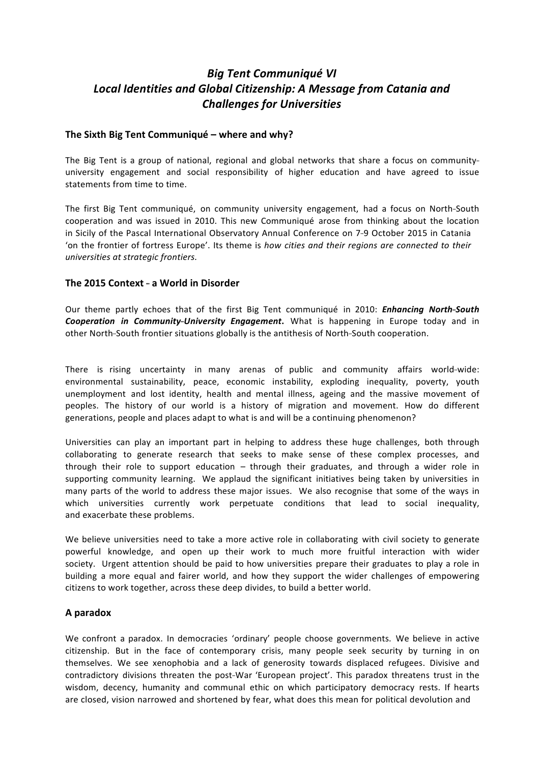# *Big Tent Communiqué VI Local Identities and Global Citizenship: A Message from Catania and Challenges for Universities*

# **The Sixth Big Tent Communiqué – where and why?**

The Big Tent is a group of national, regional and global networks that share a focus on community university engagement and social responsibility of higher education and have agreed to issue statements from time to time.

The first Big Tent communiqué, on community university engagement, had a focus on North-South cooperation and was issued in 2010. This new Communiqué arose from thinking about the location in Sicily of the Pascal International Observatory Annual Conference on 7-9 October 2015 in Catania 'on the frontier of fortress Europe'. Its theme is *how cities and their regions are connected to their universities at strategic frontiers.*

# **The 2015 Context - a World in Disorder**

Our theme partly echoes that of the first Big Tent communiqué in 2010: *Enhancing North--‐South Cooperation in Community--‐University Engagement***.** What is happening in Europe today and in other North--South frontier situations globally is the antithesis of North--South cooperation.

There is rising uncertainty in many arenas of public and community affairs world-wide: environmental sustainability, peace, economic instability, exploding inequality, poverty, youth unemployment and lost identity, health and mental illness, ageing and the massive movement of peoples. The history of our world is a history of migration and movement. How do different generations, people and places adapt to what is and will be a continuing phenomenon?

Universities can play an important part in helping to address these huge challenges, both through collaborating to generate research that seeks to make sense of these complex processes, and through their role to support education – through their graduates, and through a wider role in supporting community learning. We applaud the significant initiatives being taken by universities in many parts of the world to address these major issues. We also recognise that some of the ways in which universities currently work perpetuate conditions that lead to social inequality, and exacerbate these problems.

We believe universities need to take a more active role in collaborating with civil society to generate powerful knowledge, and open up their work to much more fruitful interaction with wider society. Urgent attention should be paid to how universities prepare their graduates to play a role in building a more equal and fairer world, and how they support the wider challenges of empowering citizens to work together, across these deep divides, to build a better world.

#### **A paradox**

We confront a paradox. In democracies 'ordinary' people choose governments. We believe in active citizenship. But in the face of contemporary crisis, many people seek security by turning in on themselves. We see xenophobia and a lack of generosity towards displaced refugees. Divisive and contradictory divisions threaten the post-War 'European project'. This paradox threatens trust in the wisdom, decency, humanity and communal ethic on which participatory democracy rests. If hearts are closed, vision narrowed and shortened by fear, what does this mean for political devolution and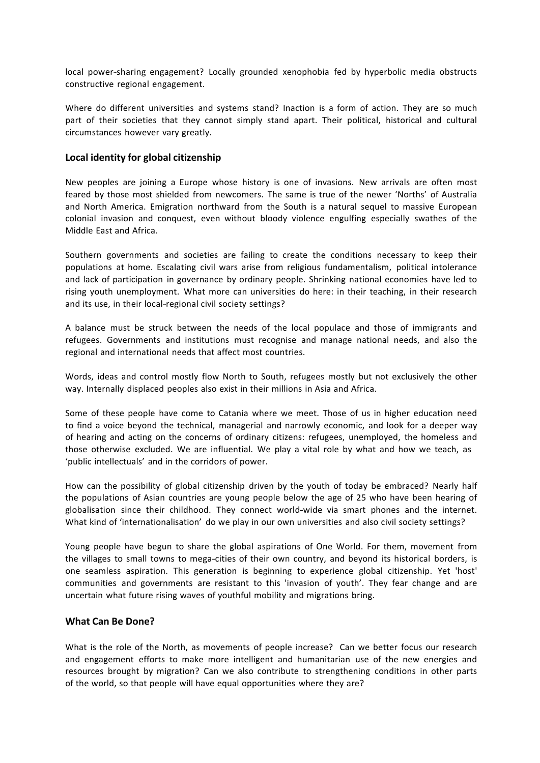local power--sharing engagement? Locally grounded xenophobia fed by hyperbolic media obstructs constructive regional engagement.

Where do different universities and systems stand? Inaction is a form of action. They are so much part of their societies that they cannot simply stand apart. Their political, historical and cultural circumstances however vary greatly.

#### **Local identity for global citizenship**

New peoples are joining a Europe whose history is one of invasions. New arrivals are often most feared by those most shielded from newcomers. The same is true of the newer 'Norths' of Australia and North America. Emigration northward from the South is a natural sequel to massive European colonial invasion and conquest, even without bloody violence engulfing especially swathes of the Middle East and Africa.

Southern governments and societies are failing to create the conditions necessary to keep their populations at home. Escalating civil wars arise from religious fundamentalism, political intolerance and lack of participation in governance by ordinary people. Shrinking national economies have led to rising youth unemployment. What more can universities do here: in their teaching, in their research and its use, in their local-regional civil society settings?

A balance must be struck between the needs of the local populace and those of immigrants and refugees. Governments and institutions must recognise and manage national needs, and also the regional and international needs that affect most countries.

Words, ideas and control mostly flow North to South, refugees mostly but not exclusively the other way. Internally displaced peoples also exist in their millions in Asia and Africa.

Some of these people have come to Catania where we meet. Those of us in higher education need to find a voice beyond the technical, managerial and narrowly economic, and look for a deeper way of hearing and acting on the concerns of ordinary citizens: refugees, unemployed, the homeless and those otherwise excluded. We are influential. We play a vital role by what and how we teach, as 'public intellectuals' and in the corridors of power.

How can the possibility of global citizenship driven by the youth of today be embraced? Nearly half the populations of Asian countries are young people below the age of 25 who have been hearing of globalisation since their childhood. They connect world-wide via smart phones and the internet. What kind of 'internationalisation' do we play in our own universities and also civil society settings?

Young people have begun to share the global aspirations of One World. For them, movement from the villages to small towns to mega-cities of their own country, and beyond its historical borders, is one seamless aspiration. This generation is beginning to experience global citizenship. Yet 'host' communities and governments are resistant to this 'invasion of youth'. They fear change and are uncertain what future rising waves of youthful mobility and migrations bring.

#### **What Can Be Done?**

What is the role of the North, as movements of people increase? Can we better focus our research and engagement efforts to make more intelligent and humanitarian use of the new energies and resources brought by migration? Can we also contribute to strengthening conditions in other parts of the world, so that people will have equal opportunities where they are?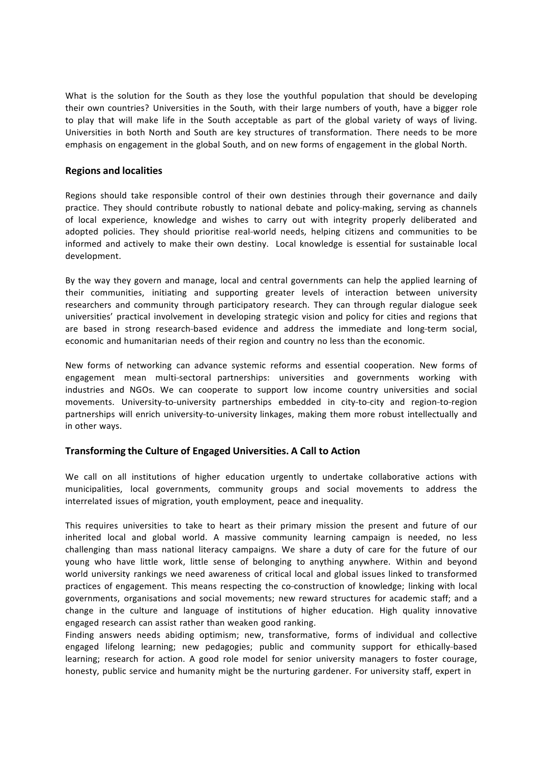What is the solution for the South as they lose the youthful population that should be developing their own countries? Universities in the South, with their large numbers of youth, have a bigger role to play that will make life in the South acceptable as part of the global variety of ways of living. Universities in both North and South are key structures of transformation. There needs to be more emphasis on engagement in the global South, and on new forms of engagement in the global North.

# **Regions and localities**

Regions should take responsible control of their own destinies through their governance and daily practice. They should contribute robustly to national debate and policy-making, serving as channels of local experience, knowledge and wishes to carry out with integrity properly deliberated and adopted policies. They should prioritise real-world needs, helping citizens and communities to be informed and actively to make their own destiny. Local knowledge is essential for sustainable local development.

By the way they govern and manage, local and central governments can help the applied learning of their communities, initiating and supporting greater levels of interaction between university researchers and community through participatory research. They can through regular dialogue seek universities' practical involvement in developing strategic vision and policy for cities and regions that are based in strong research-based evidence and address the immediate and long-term social, economic and humanitarian needs of their region and country no less than the economic.

New forms of networking can advance systemic reforms and essential cooperation. New forms of engagement mean multi-sectoral partnerships: universities and governments working with industries and NGOs. We can cooperate to support low income country universities and social movements. University-to-university partnerships embedded in city-to-city and region-to-region partnerships will enrich university-to-university linkages, making them more robust intellectually and in other ways.

# **Transforming the Culture of Engaged Universities. A Call to Action**

We call on all institutions of higher education urgently to undertake collaborative actions with municipalities, local governments, community groups and social movements to address the interrelated issues of migration, youth employment, peace and inequality.

This requires universities to take to heart as their primary mission the present and future of our inherited local and global world. A massive community learning campaign is needed, no less challenging than mass national literacy campaigns. We share a duty of care for the future of our young who have little work, little sense of belonging to anything anywhere. Within and beyond world university rankings we need awareness of critical local and global issues linked to transformed practices of engagement. This means respecting the co-construction of knowledge; linking with local governments, organisations and social movements; new reward structures for academic staff; and a change in the culture and language of institutions of higher education. High quality innovative engaged research can assist rather than weaken good ranking.

Finding answers needs abiding optimism; new, transformative, forms of individual and collective engaged lifelong learning; new pedagogies; public and community support for ethically-based learning; research for action. A good role model for senior university managers to foster courage, honesty, public service and humanity might be the nurturing gardener. For university staff, expert in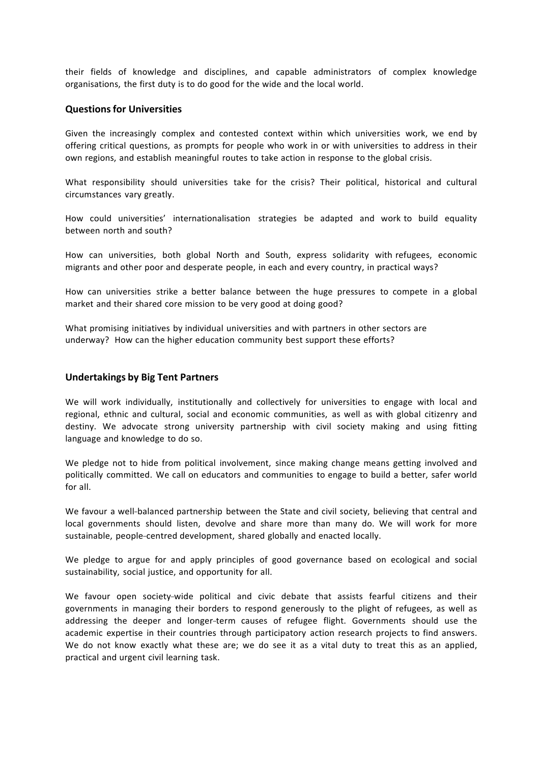their fields of knowledge and disciplines, and capable administrators of complex knowledge organisations, the first duty is to do good for the wide and the local world.

#### **Questionsfor Universities**

Given the increasingly complex and contested context within which universities work, we end by offering critical questions, as prompts for people who work in or with universities to address in their own regions, and establish meaningful routes to take action in response to the global crisis.

What responsibility should universities take for the crisis? Their political, historical and cultural circumstances vary greatly.

How could universities' internationalisation strategies be adapted and work to build equality between north and south?

How can universities, both global North and South, express solidarity with refugees, economic migrants and other poor and desperate people, in each and every country, in practical ways?

How can universities strike a better balance between the huge pressures to compete in a global market and their shared core mission to be very good at doing good?

What promising initiatives by individual universities and with partners in other sectors are underway? How can the higher education community best support these efforts?

#### **Undertakings by Big Tent Partners**

We will work individually, institutionally and collectively for universities to engage with local and regional, ethnic and cultural, social and economic communities, as well as with global citizenry and destiny. We advocate strong university partnership with civil society making and using fitting language and knowledge to do so.

We pledge not to hide from political involvement, since making change means getting involved and politically committed. We call on educators and communities to engage to build a better, safer world for all.

We favour a well-balanced partnership between the State and civil society, believing that central and local governments should listen, devolve and share more than many do. We will work for more sustainable, people--centred development, shared globally and enacted locally.

We pledge to argue for and apply principles of good governance based on ecological and social sustainability, social justice, and opportunity for all.

We favour open society-wide political and civic debate that assists fearful citizens and their governments in managing their borders to respond generously to the plight of refugees, as well as addressing the deeper and longer--term causes of refugee flight. Governments should use the academic expertise in their countries through participatory action research projects to find answers. We do not know exactly what these are; we do see it as a vital duty to treat this as an applied, practical and urgent civil learning task.